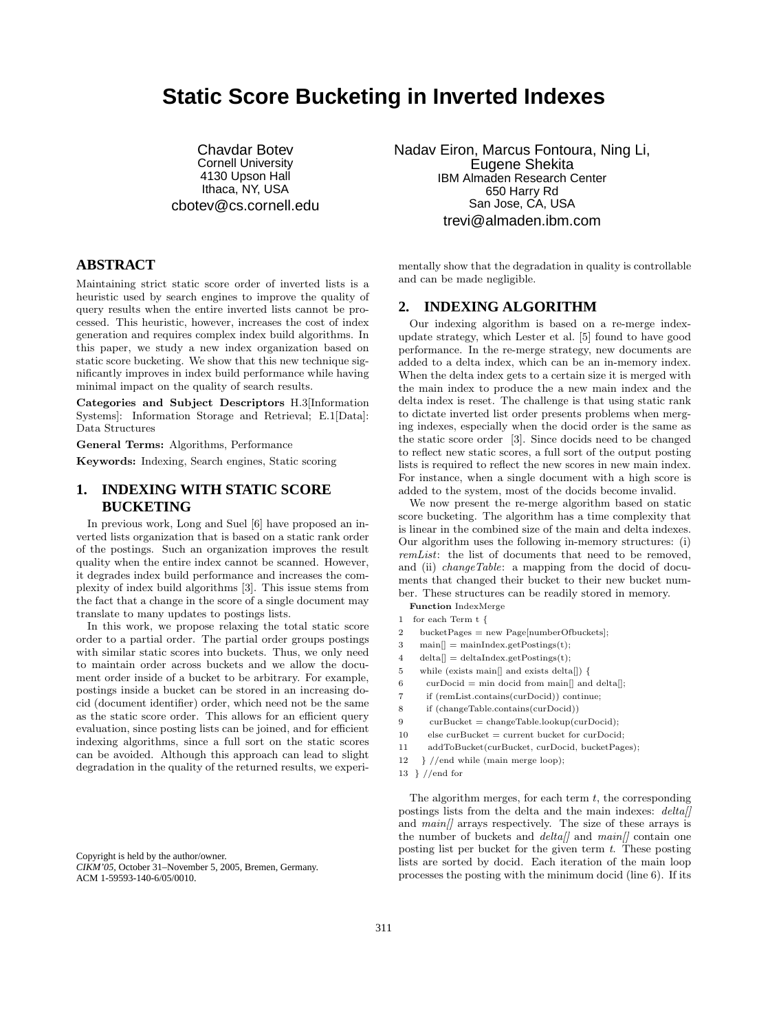# **Static Score Bucketing in Inverted Indexes**

Chavdar Botev Cornell University 4130 Upson Hall Ithaca, NY, USA cbotev@cs.cornell.edu

## **ABSTRACT**

Maintaining strict static score order of inverted lists is a heuristic used by search engines to improve the quality of query results when the entire inverted lists cannot be processed. This heuristic, however, increases the cost of index generation and requires complex index build algorithms. In this paper, we study a new index organization based on static score bucketing. We show that this new technique significantly improves in index build performance while having minimal impact on the quality of search results.

Categories and Subject Descriptors H.3[Information Systems]: Information Storage and Retrieval; E.1[Data]: Data Structures

General Terms: Algorithms, Performance

Keywords: Indexing, Search engines, Static scoring

### **1. INDEXING WITH STATIC SCORE BUCKETING**

In previous work, Long and Suel [6] have proposed an inverted lists organization that is based on a static rank order of the postings. Such an organization improves the result quality when the entire index cannot be scanned. However, it degrades index build performance and increases the complexity of index build algorithms [3]. This issue stems from the fact that a change in the score of a single document may translate to many updates to postings lists.

In this work, we propose relaxing the total static score order to a partial order. The partial order groups postings with similar static scores into buckets. Thus, we only need to maintain order across buckets and we allow the document order inside of a bucket to be arbitrary. For example, postings inside a bucket can be stored in an increasing docid (document identifier) order, which need not be the same as the static score order. This allows for an efficient query evaluation, since posting lists can be joined, and for efficient indexing algorithms, since a full sort on the static scores can be avoided. Although this approach can lead to slight degradation in the quality of the returned results, we experi-

Copyright is held by the author/owner. *CIKM'05,* October 31–November 5, 2005, Bremen, Germany. ACM 1-59593-140-6/05/0010.

Nadav Eiron, Marcus Fontoura, Ning Li, Eugene Shekita IBM Almaden Research Center 650 Harry Rd San Jose, CA, USA trevi@almaden.ibm.com

mentally show that the degradation in quality is controllable and can be made negligible.

#### **2. INDEXING ALGORITHM**

Our indexing algorithm is based on a re-merge indexupdate strategy, which Lester et al. [5] found to have good performance. In the re-merge strategy, new documents are added to a delta index, which can be an in-memory index. When the delta index gets to a certain size it is merged with the main index to produce the a new main index and the delta index is reset. The challenge is that using static rank to dictate inverted list order presents problems when merging indexes, especially when the docid order is the same as the static score order [3]. Since docids need to be changed to reflect new static scores, a full sort of the output posting lists is required to reflect the new scores in new main index. For instance, when a single document with a high score is added to the system, most of the docids become invalid.

We now present the re-merge algorithm based on static score bucketing. The algorithm has a time complexity that is linear in the combined size of the main and delta indexes. Our algorithm uses the following in-memory structures: (i) remList: the list of documents that need to be removed, and (ii) *changeTable*: a mapping from the docid of documents that changed their bucket to their new bucket number. These structures can be readily stored in memory.

- Function IndexMerge
- 1 for each Term t {
- 2 bucketPages = new Page[numberOfbuckets];
- $3$  main $[]$  = mainIndex.getPostings(t);
- $4$  delta $[] =$  deltaIndex.getPostings $(t)$ ;
- 5 while (exists main[] and exists delta[]) {
- 6 curDocid = min docid from main[] and delta[];
- 7 if (remList.contains(curDocid)) continue;
- 8 if (changeTable.contains(curDocid))
- 9  $curBucket = changeTable.lookup(curDocid);$
- $10$  else curBucket = current bucket for curDocid:
- 11 addToBucket(curBucket, curDocid, bucketPages);
- 12 } //end while (main merge loop);
- 13 } //end for

The algorithm merges, for each term  $t$ , the corresponding postings lists from the delta and the main indexes: delta and *main*<sup>[]</sup> arrays respectively. The size of these arrays is the number of buckets and  $delta||$  and  $main||$  contain one posting list per bucket for the given term  $t$ . These posting lists are sorted by docid. Each iteration of the main loop processes the posting with the minimum docid (line 6). If its